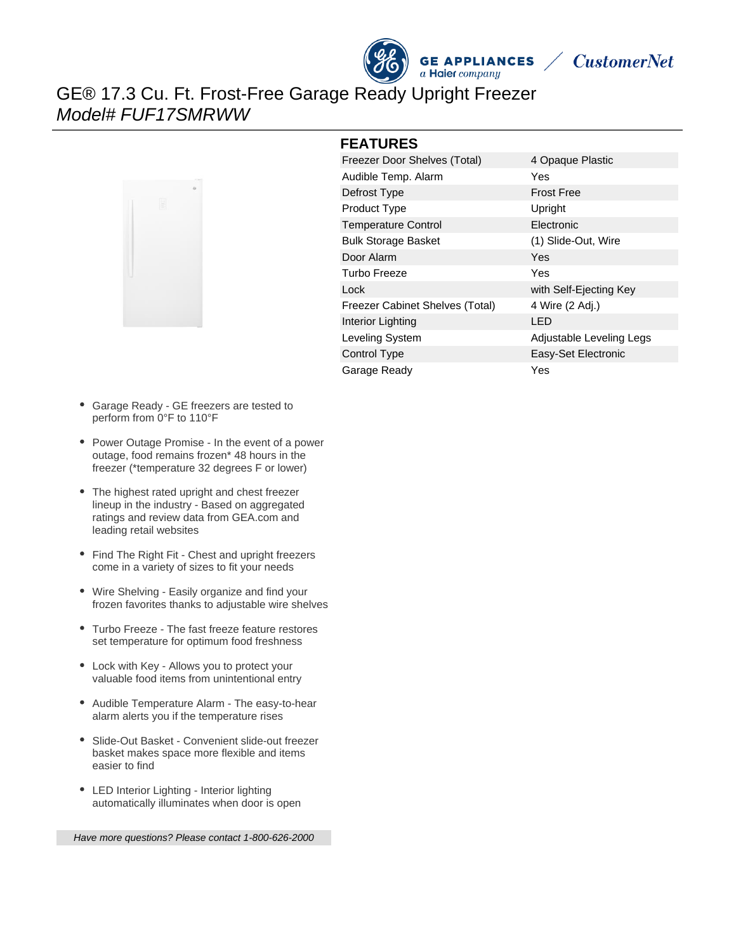



GE® 17.3 Cu. Ft. Frost-Free Garage Ready Upright Freezer Model# FUF17SMRWW



#### **FEATURES**

| Freezer Door Shelves (Total)           | 4 Opaque Plastic         |
|----------------------------------------|--------------------------|
| Audible Temp. Alarm                    | Yes                      |
| Defrost Type                           | <b>Frost Free</b>        |
| <b>Product Type</b>                    | Upright                  |
| <b>Temperature Control</b>             | Electronic               |
| <b>Bulk Storage Basket</b>             | (1) Slide-Out, Wire      |
| Door Alarm                             | Yes                      |
| Turbo Freeze                           | Yes                      |
| Lock                                   | with Self-Ejecting Key   |
| <b>Freezer Cabinet Shelves (Total)</b> | 4 Wire (2 Adj.)          |
| Interior Lighting                      | LED                      |
| Leveling System                        | Adjustable Leveling Legs |
| Control Type                           | Easy-Set Electronic      |
| Garage Ready                           | Yes                      |

- Garage Ready GE freezers are tested to perform from 0°F to 110°F
- Power Outage Promise In the event of a power outage, food remains frozen\* 48 hours in the freezer (\*temperature 32 degrees F or lower)
- The highest rated upright and chest freezer lineup in the industry - Based on aggregated ratings and review data from GEA.com and leading retail websites
- Find The Right Fit Chest and upright freezers come in a variety of sizes to fit your needs
- Wire Shelving Easily organize and find your frozen favorites thanks to adjustable wire shelves
- Turbo Freeze The fast freeze feature restores set temperature for optimum food freshness
- Lock with Key Allows you to protect your valuable food items from unintentional entry
- Audible Temperature Alarm The easy-to-hear alarm alerts you if the temperature rises
- Slide-Out Basket Convenient slide-out freezer basket makes space more flexible and items easier to find
- LED Interior Lighting Interior lighting automatically illuminates when door is open

Have more questions? Please contact 1-800-626-2000